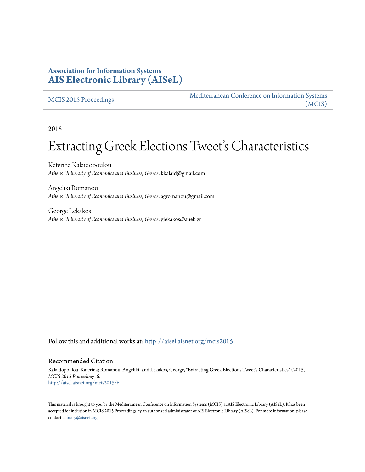### **Association for Information Systems [AIS Electronic Library \(AISeL\)](http://aisel.aisnet.org?utm_source=aisel.aisnet.org%2Fmcis2015%2F6&utm_medium=PDF&utm_campaign=PDFCoverPages)**

#### [MCIS 2015 Proceedings](http://aisel.aisnet.org/mcis2015?utm_source=aisel.aisnet.org%2Fmcis2015%2F6&utm_medium=PDF&utm_campaign=PDFCoverPages)

[Mediterranean Conference on Information Systems](http://aisel.aisnet.org/mcis?utm_source=aisel.aisnet.org%2Fmcis2015%2F6&utm_medium=PDF&utm_campaign=PDFCoverPages) [\(MCIS\)](http://aisel.aisnet.org/mcis?utm_source=aisel.aisnet.org%2Fmcis2015%2F6&utm_medium=PDF&utm_campaign=PDFCoverPages)

2015

# Extracting Greek Elections Tweet's Characteristics

Katerina Kalaidopoulou *Athens University of Economics and Business, Greece*, kkalaid@gmail.com

Angeliki Romanou *Athens University of Economics and Business, Greece*, agromanou@gmail.com

George Lekakos *Athens University of Economics and Business, Greece*, glekakos@aueb.gr

Follow this and additional works at: [http://aisel.aisnet.org/mcis2015](http://aisel.aisnet.org/mcis2015?utm_source=aisel.aisnet.org%2Fmcis2015%2F6&utm_medium=PDF&utm_campaign=PDFCoverPages)

#### Recommended Citation

Kalaidopoulou, Katerina; Romanou, Angeliki; and Lekakos, George, "Extracting Greek Elections Tweet's Characteristics" (2015). *MCIS 2015 Proceedings*. 6. [http://aisel.aisnet.org/mcis2015/6](http://aisel.aisnet.org/mcis2015/6?utm_source=aisel.aisnet.org%2Fmcis2015%2F6&utm_medium=PDF&utm_campaign=PDFCoverPages)

This material is brought to you by the Mediterranean Conference on Information Systems (MCIS) at AIS Electronic Library (AISeL). It has been accepted for inclusion in MCIS 2015 Proceedings by an authorized administrator of AIS Electronic Library (AISeL). For more information, please contact [elibrary@aisnet.org.](mailto:elibrary@aisnet.org%3E)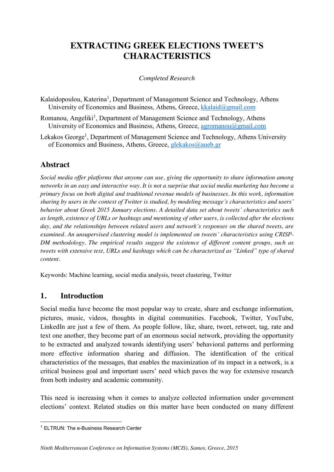## **EXTRACTING GREEK ELECTIONS TWEET'S CHARACTERISTICS**

#### *Completed Research*

- Kalaidopoulou, Katerina<sup>1</sup>, Department of Management Science and Technology, Athens University of Economics and Business, Athens, Greece, kkalaid@gmail.com
- Romanou, Angeliki<sup>1</sup>, Department of Management Science and Technology, Athens University of Economics and Business, Athens, Greece, agromanou@gmail.com
- Lekakos George<sup>1</sup>, Department of Management Science and Technology, Athens University of Economics and Business, Athens, Greece, glekakos@aueb.gr

## **Abstract**

*Social media offer platforms that anyone can use, giving the opportunity to share information among networks in an easy and interactive way. It is not a surprise that social media marketing has become a primary focus on both digital and traditional revenue models of businesses. In this work, information sharing by users in the context of Twitter is studied, by modeling message's characteristics and users' behavior about Greek 2015 January elections. A detailed data set about tweets' characteristics such as length, existence of URLs or hashtags and mentioning of other users, is collected after the elections day, and the relationships between related users and network's responses on the shared tweets, are examined. An unsupervised clustering model is implemented on tweets' characteristics using CRISP-DM methodology. The empirical results suggest the existence of different content groups, such as tweets with extensive text, URLs and hashtags which can be characterized as "Linked" type of shared content.* 

Keywords: Machine learning, social media analysis, tweet clustering, Twitter

### **1. Introduction**

Social media have become the most popular way to create, share and exchange information, pictures, music, videos, thoughts in digital communities. Facebook, Twitter, YouTube, LinkedIn are just a few of them. As people follow, like, share, tweet, retweet, tag, rate and text one another, they become part of an enormous social network, providing the opportunity to be extracted and analyzed towards identifying users' behavioral patterns and performing more effective information sharing and diffusion. The identification of the critical characteristics of the messages, that enables the maximization of its impact in a network, is a critical business goal and important users' need which paves the way for extensive research from both industry and academic community.

This need is increasing when it comes to analyze collected information under government elections' context. Related studies on this matter have been conducted on many different

 <sup>1</sup> ELTRUN: The e-Business Research Center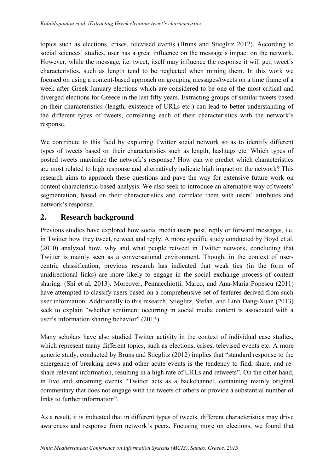topics such as elections, crises, televised events (Bruns and Stieglitz 2012). According to social sciences' studies, user has a great influence on the message's impact on the network. However, while the message, i.e. tweet, itself may influence the response it will get, tweet's characteristics, such as length tend to be neglected when mining them. In this work we focused on using a content-based approach on grouping messages/tweets on a time frame of a week after Greek January elections which are considered to be one of the most critical and diverged elections for Greece in the last fifty years. Extracting groups of similar tweets based on their characteristics (length, existence of URLs etc.) can lead to better understanding of the different types of tweets, correlating each of their characteristics with the network's response.

We contribute to this field by exploring Twitter social network so as to identify different types of tweets based on their characteristics such as length, hashtags etc. Which types of posted tweets maximize the network's response? How can we predict which characteristics are most related to high response and alternatively indicate high impact on the network? This research aims to approach these questions and pave the way for extensive future work on content characteristic-based analysis. We also seek to introduce an alternative way of tweets' segmentation, based on their characteristics and correlate them with users' attributes and network's response.

### **2. Research background**

Previous studies have explored how social media users post, reply or forward messages, i.e. in Twitter how they tweet, retweet and reply. A more specific study conducted by Boyd et al. (2010) analyzed how, why and what people retweet in Twitter network, concluding that Twitter is mainly seen as a conversational environment. Though, in the context of usercentric classification, previous research has indicated that weak ties (in the form of unidirectional links) are more likely to engage in the social exchange process of content sharing. (Shi et al, 2013). Moreover, Pennacchiotti, Marco, and Ana-Maria Popescu (2011) have attempted to classify users based on a comprehensive set of features derived from such user information. Additionally to this research, Stieglitz, Stefan, and Linh Dang-Xuan (2013) seek to explain "whether sentiment occurring in social media content is associated with a user's information sharing behavior" (2013).

Many scholars have also studied Twitter activity in the context of individual case studies, which represent many different topics, such as elections, crises, televised events etc. A more generic study, conducted by Bruns and Stieglitz (2012) implies that "standard response to the emergence of breaking news and other acute events is the tendency to find, share, and reshare relevant information, resulting in a high rate of URLs and retweets". On the other hand, in live and streaming events "Twitter acts as a backchannel, containing mainly original commentary that does not engage with the tweets of others or provide a substantial number of links to further information".

As a result, it is indicated that in different types of tweets, different characteristics may drive awareness and response from network's peers. Focusing more on elections, we found that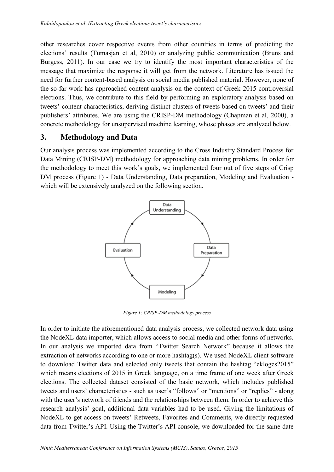other researches cover respective events from other countries in terms of predicting the elections' results (Tumasjan et al, 2010) or analyzing public communication (Bruns and Burgess, 2011). In our case we try to identify the most important characteristics of the message that maximize the response it will get from the network. Literature has issued the need for further content-based analysis on social media published material. However, none of the so-far work has approached content analysis on the context of Greek 2015 controversial elections. Thus, we contribute to this field by performing an exploratory analysis based on tweets' content characteristics, deriving distinct clusters of tweets based on tweets' and their publishers' attributes. We are using the CRISP-DM methodology (Chapman et al, 2000), a concrete methodology for unsupervised machine learning, whose phases are analyzed below.

#### **3. Methodology and Data**

Our analysis process was implemented according to the Cross Industry Standard Process for Data Mining (CRISP-DM) methodology for approaching data mining problems. In order for the methodology to meet this work's goals, we implemented four out of five steps of Crisp DM process (Figure 1) - Data Understanding, Data preparation, Modeling and Evaluation which will be extensively analyzed on the following section.



*Figure 1: CRISP-DM methodology process*

In order to initiate the aforementioned data analysis process, we collected network data using the NodeXL data importer, which allows access to social media and other forms of networks. In our analysis we imported data from "Twitter Search Network" because it allows the extraction of networks according to one or more hashtag(s). We used NodeXL client software to download Twitter data and selected only tweets that contain the hashtag "ekloges2015" which means elections of 2015 in Greek language, on a time frame of one week after Greek elections. The collected dataset consisted of the basic network, which includes published tweets and users' characteristics - such as user's "follows" or "mentions" or "replies" - along with the user's network of friends and the relationships between them. In order to achieve this research analysis' goal, additional data variables had to be used. Giving the limitations of NodeXL to get access on tweets' Retweets, Favorites and Comments, we directly requested data from Twitter's API. Using the Twitter's API console, we downloaded for the same date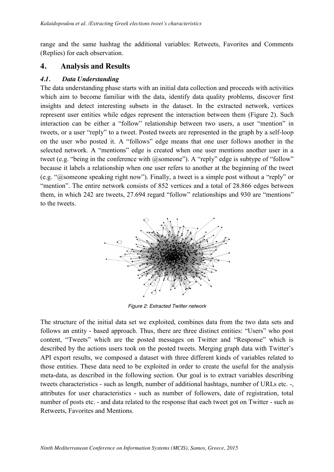range and the same hashtag the additional variables: Retweets, Favorites and Comments (Replies) for each observation.

#### **4. Analysis and Results**

#### *4.1. Data Understanding*

The data understanding phase starts with an initial data collection and proceeds with activities which aim to become familiar with the data, identify data quality problems, discover first insights and detect interesting subsets in the dataset. In the extracted network, vertices represent user entities while edges represent the interaction between them (Figure 2). Such interaction can be either a "follow" relationship between two users, a user "mention" in tweets, or a user "reply" to a tweet. Posted tweets are represented in the graph by a self-loop on the user who posted it. A "follows" edge means that one user follows another in the selected network. A "mentions" edge is created when one user mentions another user in a tweet (e.g. "being in the conference with @someone"). A "reply" edge is subtype of "follow" because it labels a relationship when one user refers to another at the beginning of the tweet (e.g. "@someone speaking right now"). Finally, a tweet is a simple post without a "reply" or "mention". The entire network consists of 852 vertices and a total of 28.866 edges between them, in which 242 are tweets, 27.694 regard "follow" relationships and 930 are "mentions" to the tweets.



*Figure 2: Extracted Twitter network*

The structure of the initial data set we exploited, combines data from the two data sets and follows an entity - based approach. Thus, there are three distinct entities: "Users" who post content, "Tweets" which are the posted messages on Twitter and "Response" which is described by the actions users took on the posted tweets. Merging graph data with Twitter's API export results, we composed a dataset with three different kinds of variables related to those entities. These data need to be exploited in order to create the useful for the analysis meta-data, as described in the following section. Our goal is to extract variables describing tweets characteristics - such as length, number of additional hashtags, number of URLs etc. -, attributes for user characteristics - such as number of followers, date of registration, total number of posts etc. - and data related to the response that each tweet got on Twitter - such as Retweets, Favorites and Mentions.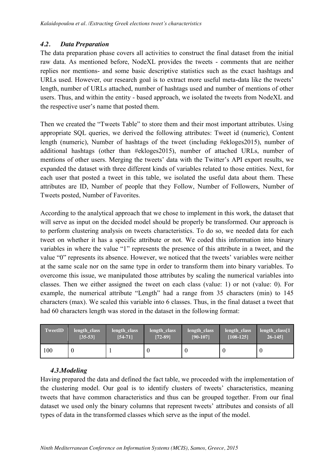#### *4.2. Data Preparation*

The data preparation phase covers all activities to construct the final dataset from the initial raw data. As mentioned before, NodeXL provides the tweets - comments that are neither replies nor mentions- and some basic descriptive statistics such as the exact hashtags and URLs used. However, our research goal is to extract more useful meta-data like the tweets' length, number of URLs attached, number of hashtags used and number of mentions of other users. Thus, and within the entity - based approach, we isolated the tweets from NodeXL and the respective user's name that posted them.

Then we created the "Tweets Table" to store them and their most important attributes. Using appropriate SQL queries, we derived the following attributes: Tweet id (numeric), Content length (numeric), Number of hashtags of the tweet (including #ekloges2015), number of additional hashtags (other than #ekloges2015), number of attached URLs, number of mentions of other users. Merging the tweets' data with the Twitter's API export results, we expanded the dataset with three different kinds of variables related to those entities. Next, for each user that posted a tweet in this table, we isolated the useful data about them. These attributes are ID, Number of people that they Follow, Number of Followers, Number of Tweets posted, Number of Favorites.

According to the analytical approach that we chose to implement in this work, the dataset that will serve as input on the decided model should be properly be transformed. Our approach is to perform clustering analysis on tweets characteristics. To do so, we needed data for each tweet on whether it has a specific attribute or not. We coded this information into binary variables in where the value "1" represents the presence of this attribute in a tweet, and the value "0" represents its absence. However, we noticed that the tweets' variables were neither at the same scale nor on the same type in order to transform them into binary variables. To overcome this issue, we manipulated those attributes by scaling the numerical variables into classes. Then we either assigned the tweet on each class (value: 1) or not (value: 0). For example, the numerical attribute "Length" had a range from 35 characters (min) to 145 characters (max). We scaled this variable into 6 classes. Thus, in the final dataset a tweet that had 60 characters length was stored in the dataset in the following format:

| <b>TweetID</b> | length class     | length_class | length class | length class | length class | length $class[1]$ |
|----------------|------------------|--------------|--------------|--------------|--------------|-------------------|
|                | $[35 - 53]$      | $[54-71]$    | $[72-89]$    | $[90-107]$   | $[108-125]$  | $26 - 145$        |
| 100            | $\boldsymbol{0}$ |              |              |              |              |                   |

#### *4.3.Modeling*

Having prepared the data and defined the fact table, we proceeded with the implementation of the clustering model. Our goal is to identify clusters of tweets' characteristics, meaning tweets that have common characteristics and thus can be grouped together. From our final dataset we used only the binary columns that represent tweets' attributes and consists of all types of data in the transformed classes which serve as the input of the model.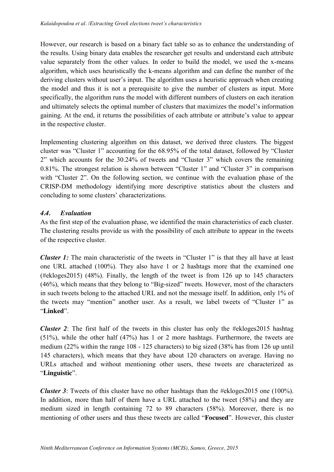However, our research is based on a binary fact table so as to enhance the understanding of the results. Using binary data enables the researcher get results and understand each attribute value separately from the other values. In order to build the model, we used the x-means algorithm, which uses heuristically the k-means algorithm and can define the number of the deriving clusters without user's input. The algorithm uses a heuristic approach when creating the model and thus it is not a prerequisite to give the number of clusters as input. More specifically, the algorithm runs the model with different numbers of clusters on each iteration and ultimately selects the optimal number of clusters that maximizes the model's information gaining. At the end, it returns the possibilities of each attribute or attribute's value to appear in the respective cluster.

Implementing clustering algorithm on this dataset, we derived three clusters. The biggest cluster was "Cluster 1" accounting for the 68.95% of the total dataset, followed by "Cluster 2" which accounts for the 30.24% of tweets and "Cluster 3" which covers the remaining 0.81%. The strongest relation is shown between "Cluster 1" and "Cluster 3" in comparison with "Cluster 2". On the following section, we continue with the evaluation phase of the CRISP-DM methodology identifying more descriptive statistics about the clusters and concluding to some clusters' characterizations.

#### *4.4. Evaluation*

As the first step of the evaluation phase, we identified the main characteristics of each cluster. The clustering results provide us with the possibility of each attribute to appear in the tweets of the respective cluster.

*Cluster 1:* The main characteristic of the tweets in "Cluster 1" is that they all have at least one URL attached (100%). They also have 1 or 2 hashtags more that the examined one (#ekloges2015) (48%). Finally, the length of the tweet is from 126 up to 145 characters (46%), which means that they belong to "Big-sized" tweets. However, most of the characters in such tweets belong to the attached URL and not the message itself. In addition, only 1% of the tweets may "mention" another user. As a result, we label tweets of "Cluster 1" as "**Linked**".

*Cluster 2*: The first half of the tweets in this cluster has only the #ekloges2015 hashtag (51%), while the other half (47%) has 1 or 2 more hashtags. Furthermore, the tweets are medium (22% within the range 108 - 125 characters) to big sized (38% has from 126 up until 145 characters), which means that they have about 120 characters on average. Having no URLs attached and without mentioning other users, these tweets are characterized as "**Linguistic**".

*Cluster 3*: Tweets of this cluster have no other hashtags than the #ekloges2015 one (100%). In addition, more than half of them have a URL attached to the tweet (58%) and they are medium sized in length containing 72 to 89 characters (58%). Moreover, there is no mentioning of other users and thus these tweets are called "**Focused**". However, this cluster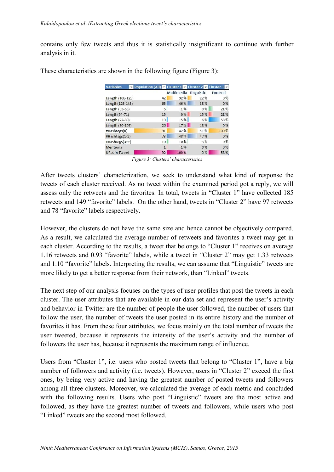contains only few tweets and thus it is statistically insignificant to continue with further analysis in it.

| <b>Variables</b>     | Population (All) v Cluster 1 v Cluster 2 v Cluster 3 v |                   |            |         |
|----------------------|--------------------------------------------------------|-------------------|------------|---------|
|                      |                                                        | <b>Multimedia</b> | Linguistic | Focused |
| Length (108-125)     | 42                                                     | 32%               | 22 %       | 0%      |
| Length(126-145)      | 65                                                     | 46 %              | 38 %       | 0%      |
| Length (35-53)       | 5                                                      | 1%                | 0%         | 21 %    |
| Length(54-71)        | 15                                                     | 0%                | 15 %       | 21%     |
| Length (72-89)       | 19                                                     | 5%                | 6%         | 58 %    |
| Length (90-107)      | 26                                                     | 17%               | 18 %       | 0%      |
| #Hashtags(0)         | 91                                                     | 42 %              | 51%        | 100 %   |
| #Hashtags(1-2)       | 73                                                     | 48 %              | 47%        | 0%      |
| #Hashtags(3++)       | 10                                                     | 10%               | 3 %        | 0%      |
| <b>Mentions</b>      | $\mathbf{1}$                                           | 1%                | 0%         | 0%      |
| <b>URLs in Tweet</b> | 92                                                     | 100 %             | 0%         | 58 %    |

These characteristics are shown in the following figure (Figure 3):

*Figure 3: Clusters' characteristics*

After tweets clusters' characterization, we seek to understand what kind of response the tweets of each cluster received. As no tweet within the examined period got a reply, we will assess only the retweets and the favorites. In total, tweets in "Cluster 1" have collected 185 retweets and 149 "favorite" labels. On the other hand, tweets in "Cluster 2" have 97 retweets and 78 "favorite" labels respectively.

However, the clusters do not have the same size and hence cannot be objectively compared. As a result, we calculated the average number of retweets and favorites a tweet may get in each cluster. According to the results, a tweet that belongs to "Cluster 1" receives on average 1.16 retweets and 0.93 "favorite" labels, while a tweet in "Cluster 2" may get 1.33 retweets and 1.10 "favorite" labels. Interpreting the results, we can assume that "Linguistic" tweets are more likely to get a better response from their network, than "Linked" tweets.

The next step of our analysis focuses on the types of user profiles that post the tweets in each cluster. The user attributes that are available in our data set and represent the user's activity and behavior in Twitter are the number of people the user followed, the number of users that follow the user, the number of tweets the user posted in its entire history and the number of favorites it has. From these four attributes, we focus mainly on the total number of tweets the user tweeted, because it represents the intensity of the user's activity and the number of followers the user has, because it represents the maximum range of influence.

Users from "Cluster 1", i.e. users who posted tweets that belong to "Cluster 1", have a big number of followers and activity (i.e. tweets). However, users in "Cluster 2" exceed the first ones, by being very active and having the greatest number of posted tweets and followers among all three clusters. Moreover, we calculated the average of each metric and concluded with the following results. Users who post "Linguistic" tweets are the most active and followed, as they have the greatest number of tweets and followers, while users who post "Linked" tweets are the second most followed.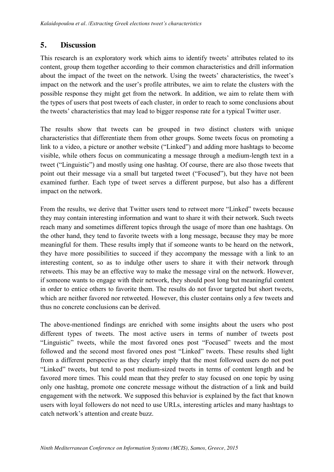#### **5. Discussion**

This research is an exploratory work which aims to identify tweets' attributes related to its content, group them together according to their common characteristics and drill information about the impact of the tweet on the network. Using the tweets' characteristics, the tweet's impact on the network and the user's profile attributes, we aim to relate the clusters with the possible response they might get from the network. In addition, we aim to relate them with the types of users that post tweets of each cluster, in order to reach to some conclusions about the tweets' characteristics that may lead to bigger response rate for a typical Twitter user.

The results show that tweets can be grouped in two distinct clusters with unique characteristics that differentiate them from other groups. Some tweets focus on promoting a link to a video, a picture or another website ("Linked") and adding more hashtags to become visible, while others focus on communicating a message through a medium-length text in a tweet ("Linguistic") and mostly using one hashtag. Of course, there are also those tweets that point out their message via a small but targeted tweet ("Focused"), but they have not been examined further. Each type of tweet serves a different purpose, but also has a different impact on the network.

From the results, we derive that Twitter users tend to retweet more "Linked" tweets because they may contain interesting information and want to share it with their network. Such tweets reach many and sometimes different topics through the usage of more than one hashtags. On the other hand, they tend to favorite tweets with a long message, because they may be more meaningful for them. These results imply that if someone wants to be heard on the network, they have more possibilities to succeed if they accompany the message with a link to an interesting content, so as to indulge other users to share it with their network through retweets. This may be an effective way to make the message viral on the network. However, if someone wants to engage with their network, they should post long but meaningful content in order to entice others to favorite them. The results do not favor targeted but short tweets, which are neither favored nor retweeted. However, this cluster contains only a few tweets and thus no concrete conclusions can be derived.

The above-mentioned findings are enriched with some insights about the users who post different types of tweets. The most active users in terms of number of tweets post "Linguistic" tweets, while the most favored ones post "Focused" tweets and the most followed and the second most favored ones post "Linked" tweets. These results shed light from a different perspective as they clearly imply that the most followed users do not post "Linked" tweets, but tend to post medium-sized tweets in terms of content length and be favored more times. This could mean that they prefer to stay focused on one topic by using only one hashtag, promote one concrete message without the distraction of a link and build engagement with the network. We supposed this behavior is explained by the fact that known users with loyal followers do not need to use URLs, interesting articles and many hashtags to catch network's attention and create buzz.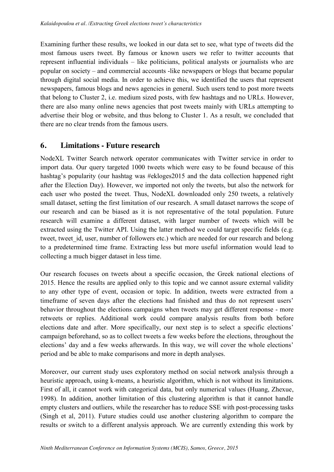Examining further these results, we looked in our data set to see, what type of tweets did the most famous users tweet. By famous or known users we refer to twitter accounts that represent influential individuals – like politicians, political analysts or journalists who are popular on society – and commercial accounts -like newspapers or blogs that became popular through digital social media. In order to achieve this, we identified the users that represent newspapers, famous blogs and news agencies in general. Such users tend to post more tweets that belong to Cluster 2, i.e. medium sized posts, with few hashtags and no URLs. However, there are also many online news agencies that post tweets mainly with URLs attempting to advertise their blog or website, and thus belong to Cluster 1. As a result, we concluded that there are no clear trends from the famous users.

#### **6. Limitations - Future research**

NodeXL Twitter Search network operator communicates with Twitter service in order to import data. Our query targeted 1000 tweets which were easy to be found because of this hashtag's popularity (our hashtag was #ekloges2015 and the data collection happened right after the Election Day). However, we imported not only the tweets, but also the network for each user who posted the tweet. Thus, NodeXL downloaded only 250 tweets, a relatively small dataset, setting the first limitation of our research. A small dataset narrows the scope of our research and can be biased as it is not representative of the total population. Future research will examine a different dataset, with larger number of tweets which will be extracted using the Twitter API. Using the latter method we could target specific fields (e.g. tweet, tweet id, user, number of followers etc.) which are needed for our research and belong to a predetermined time frame. Extracting less but more useful information would lead to collecting a much bigger dataset in less time.

Our research focuses on tweets about a specific occasion, the Greek national elections of 2015. Hence the results are applied only to this topic and we cannot assure external validity to any other type of event, occasion or topic. In addition, tweets were extracted from a timeframe of seven days after the elections had finished and thus do not represent users' behavior throughout the elections campaigns when tweets may get different response - more retweets or replies. Additional work could compare analysis results from both before elections date and after. More specifically, our next step is to select a specific elections' campaign beforehand, so as to collect tweets a few weeks before the elections, throughout the elections' day and a few weeks afterwards. In this way, we will cover the whole elections' period and be able to make comparisons and more in depth analyses.

Moreover, our current study uses exploratory method on social network analysis through a heuristic approach, using k-means, a heuristic algorithm, which is not without its limitations. First of all, it cannot work with categorical data, but only numerical values (Huang, Zhexue, 1998). In addition, another limitation of this clustering algorithm is that it cannot handle empty clusters and outliers, while the researcher has to reduce SSE with post-processing tasks (Singh et al, 2011). Future studies could use another clustering algorithm to compare the results or switch to a different analysis approach. We are currently extending this work by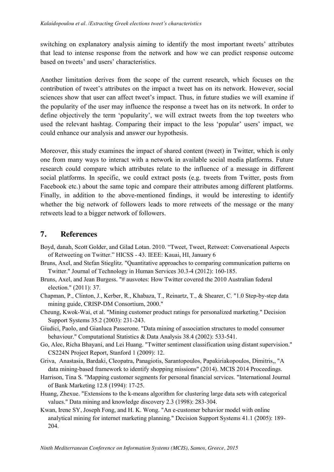switching on explanatory analysis aiming to identify the most important tweets' attributes that lead to intense response from the network and how we can predict response outcome based on tweets' and users' characteristics.

Another limitation derives from the scope of the current research, which focuses on the contribution of tweet's attributes on the impact a tweet has on its network. However, social sciences show that user can affect tweet's impact. Thus, in future studies we will examine if the popularity of the user may influence the response a tweet has on its network. In order to define objectively the term 'popularity', we will extract tweets from the top tweeters who used the relevant hashtag. Comparing their impact to the less 'popular' users' impact, we could enhance our analysis and answer our hypothesis.

Moreover, this study examines the impact of shared content (tweet) in Twitter, which is only one from many ways to interact with a network in available social media platforms. Future research could compare which attributes relate to the influence of a message in different social platforms. In specific, we could extract posts (e.g. tweets from Twitter, posts from Facebook etc.) about the same topic and compare their attributes among different platforms. Finally, in addition to the above-mentioned findings, it would be interesting to identify whether the big network of followers leads to more retweets of the message or the many retweets lead to a bigger network of followers.

#### **7. References**

- Boyd, danah, Scott Golder, and Gilad Lotan. 2010. "Tweet, Tweet, Retweet: Conversational Aspects of Retweeting on Twitter." HICSS - 43. IEEE: Kauai, HI, January 6
- Bruns, Axel, and Stefan Stieglitz. "Quantitative approaches to comparing communication patterns on Twitter." Journal of Technology in Human Services 30.3-4 (2012): 160-185.
- Bruns, Axel, and Jean Burgess. "# ausvotes: How Twitter covered the 2010 Australian federal election." (2011): 37.
- Chapman, P., Clinton, J., Kerber, R., Khabaza, T., Reinartz, T., & Shearer, C. "1.0 Step-by-step data mining guide, CRISP-DM Consortium, 2000."
- Cheung, Kwok-Wai, et al. "Mining customer product ratings for personalized marketing." Decision Support Systems 35.2 (2003): 231-243.
- Giudici, Paolo, and Gianluca Passerone. "Data mining of association structures to model consumer behaviour." Computational Statistics & Data Analysis 38.4 (2002): 533-541.
- Go, Alec, Richa Bhayani, and Lei Huang. "Twitter sentiment classification using distant supervision." CS224N Project Report, Stanford 1 (2009): 12.
- Griva, Anastasia, Bardaki, Cleopatra, Panagiotis, Sarantopoulos, Papakiriakopoulos, Dimitris,, "A data mining-based framework to identify shopping missions" (2014). MCIS 2014 Proceedings.
- Harrison, Tina S. "Mapping customer segments for personal financial services. "International Journal of Bank Marketing 12.8 (1994): 17-25.
- Huang, Zhexue. "Extensions to the k-means algorithm for clustering large data sets with categorical values." Data mining and knowledge discovery 2.3 (1998): 283-304.
- Kwan, Irene SY, Joseph Fong, and H. K. Wong. "An e-customer behavior model with online analytical mining for internet marketing planning." Decision Support Systems 41.1 (2005): 189- 204.